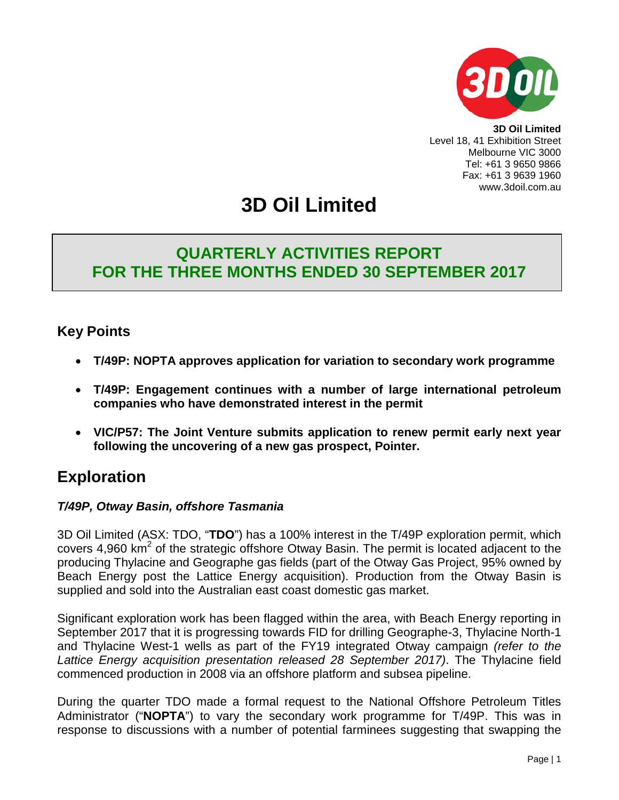

**3D Oil Limited** Level 18, 41 Exhibition Street Melbourne VIC 3000 Tel: +61 3 9650 9866 Fax: +61 3 9639 1960 www.3doil.com.au

# **3D Oil Limited**

# **QUARTERLY ACTIVITIES REPORT FOR THE THREE MONTHS ENDED 30 SEPTEMBER 2017**

# **Key Points**

- **T/49P: NOPTA approves application for variation to secondary work programme**
- **T/49P: Engagement continues with a number of large international petroleum companies who have demonstrated interest in the permit**
- **VIC/P57: The Joint Venture submits application to renew permit early next year following the uncovering of a new gas prospect, Pointer.**

# **Exploration**

# *T/49P, Otway Basin, offshore Tasmania*

3D Oil Limited (ASX: TDO, "**TDO**") has a 100% interest in the T/49P exploration permit, which covers 4,960  $km^2$  of the strategic offshore Otway Basin. The permit is located adjacent to the producing Thylacine and Geographe gas fields (part of the Otway Gas Project, 95% owned by Beach Energy post the Lattice Energy acquisition). Production from the Otway Basin is supplied and sold into the Australian east coast domestic gas market.

Significant exploration work has been flagged within the area, with Beach Energy reporting in September 2017 that it is progressing towards FID for drilling Geographe-3, Thylacine North-1 and Thylacine West-1 wells as part of the FY19 integrated Otway campaign *(refer to the Lattice Energy acquisition presentation released 28 September 2017)*. The Thylacine field commenced production in 2008 via an offshore platform and subsea pipeline.

During the quarter TDO made a formal request to the National Offshore Petroleum Titles Administrator ("**NOPTA**") to vary the secondary work programme for T/49P. This was in response to discussions with a number of potential farminees suggesting that swapping the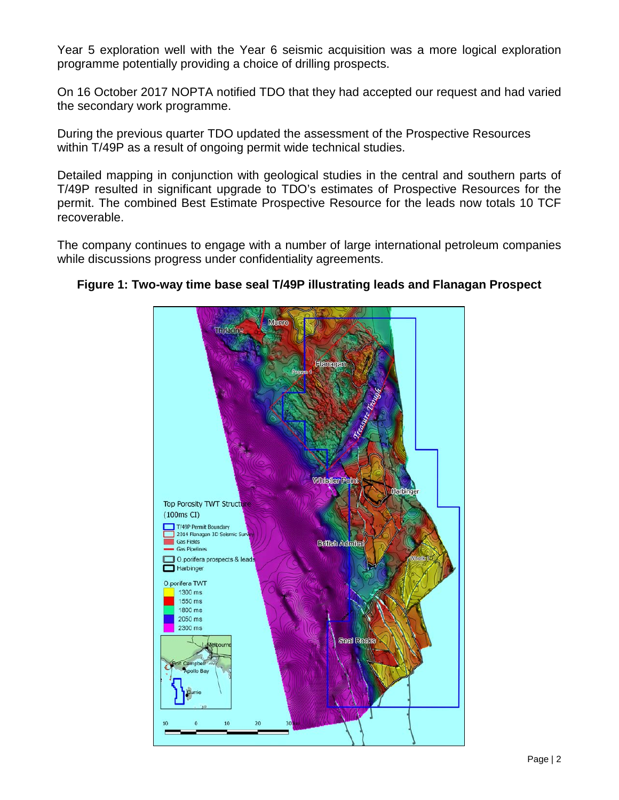Year 5 exploration well with the Year 6 seismic acquisition was a more logical exploration programme potentially providing a choice of drilling prospects.

On 16 October 2017 NOPTA notified TDO that they had accepted our request and had varied the secondary work programme.

During the previous quarter TDO updated the assessment of the Prospective Resources within T/49P as a result of ongoing permit wide technical studies.

Detailed mapping in conjunction with geological studies in the central and southern parts of T/49P resulted in significant upgrade to TDO's estimates of Prospective Resources for the permit. The combined Best Estimate Prospective Resource for the leads now totals 10 TCF recoverable.

The company continues to engage with a number of large international petroleum companies while discussions progress under confidentiality agreements.



### **Figure 1: Two-way time base seal T/49P illustrating leads and Flanagan Prospect**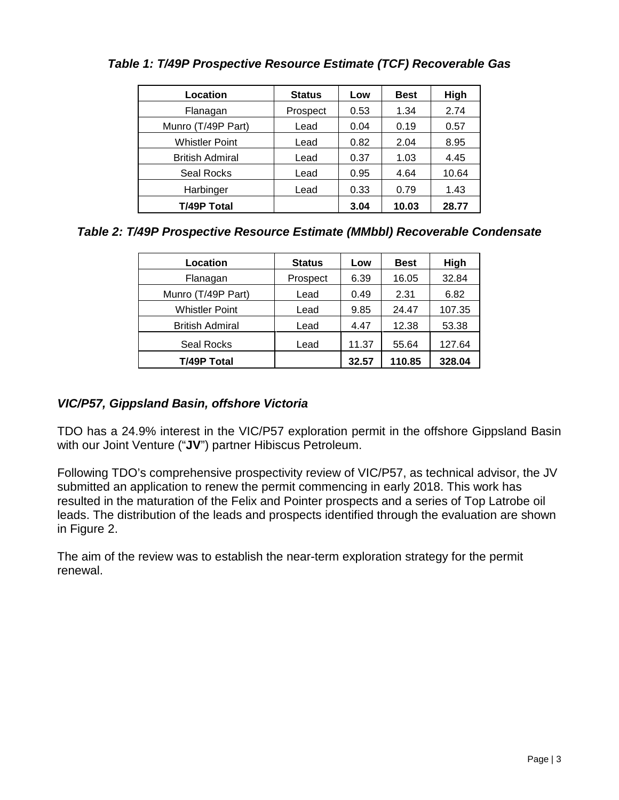| Location               | <b>Status</b> | Low  | <b>Best</b> | High  |
|------------------------|---------------|------|-------------|-------|
| Flanagan               | Prospect      | 0.53 | 1.34        | 2.74  |
| Munro (T/49P Part)     | Lead          | 0.04 | 0.19        | 0.57  |
| <b>Whistler Point</b>  | Lead          | 0.82 | 2.04        | 8.95  |
| <b>British Admiral</b> | Lead          | 0.37 | 1.03        | 4.45  |
| Seal Rocks             | Lead          | 0.95 | 4.64        | 10.64 |
| Harbinger              | Lead          | 0.33 | 0.79        | 1.43  |
| T/49P Total            |               | 3.04 | 10.03       | 28.77 |

# *Table 1: T/49P Prospective Resource Estimate (TCF) Recoverable Gas*

*Table 2: T/49P Prospective Resource Estimate (MMbbl) Recoverable Condensate*

| Location               | <b>Status</b> | Low   | <b>Best</b> | High   |
|------------------------|---------------|-------|-------------|--------|
| Flanagan               | Prospect      | 6.39  | 16.05       | 32.84  |
| Munro (T/49P Part)     | Lead          | 0.49  | 2.31        | 6.82   |
| <b>Whistler Point</b>  | Lead          | 9.85  | 24.47       | 107.35 |
| <b>British Admiral</b> | Lead          | 4.47  | 12.38       | 53.38  |
| Seal Rocks             | Lead          | 11.37 | 55.64       | 127.64 |
| <b>T/49P Total</b>     |               | 32.57 | 110.85      | 328.04 |

# *VIC/P57, Gippsland Basin, offshore Victoria*

TDO has a 24.9% interest in the VIC/P57 exploration permit in the offshore Gippsland Basin with our Joint Venture ("**JV**") partner Hibiscus Petroleum.

Following TDO's comprehensive prospectivity review of VIC/P57, as technical advisor, the JV submitted an application to renew the permit commencing in early 2018. This work has resulted in the maturation of the Felix and Pointer prospects and a series of Top Latrobe oil leads. The distribution of the leads and prospects identified through the evaluation are shown in Figure 2.

The aim of the review was to establish the near-term exploration strategy for the permit renewal.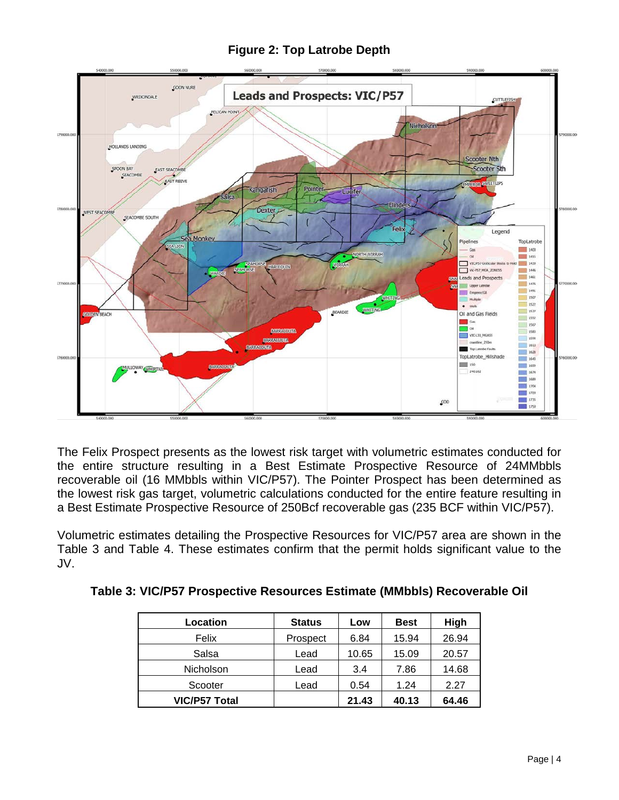

**Figure 2: Top Latrobe Depth**

The Felix Prospect presents as the lowest risk target with volumetric estimates conducted for the entire structure resulting in a Best Estimate Prospective Resource of 24MMbbls recoverable oil (16 MMbbls within VIC/P57). The Pointer Prospect has been determined as the lowest risk gas target, volumetric calculations conducted for the entire feature resulting in a Best Estimate Prospective Resource of 250Bcf recoverable gas (235 BCF within VIC/P57).

Volumetric estimates detailing the Prospective Resources for VIC/P57 area are shown in the Table 3 and Table 4. These estimates confirm that the permit holds significant value to the JV.

| Location             | <b>Status</b> | Low   | <b>Best</b> | High  |
|----------------------|---------------|-------|-------------|-------|
| Felix                | Prospect      | 6.84  | 15.94       | 26.94 |
| Salsa                | Lead          | 10.65 | 15.09       | 20.57 |
| Nicholson            | Lead          | 3.4   | 7.86        | 14.68 |
| Scooter              | Lead          | 0.54  | 1.24        | 2.27  |
| <b>VIC/P57 Total</b> |               | 21.43 | 40.13       | 64.46 |

**Table 3: VIC/P57 Prospective Resources Estimate (MMbbls) Recoverable Oil**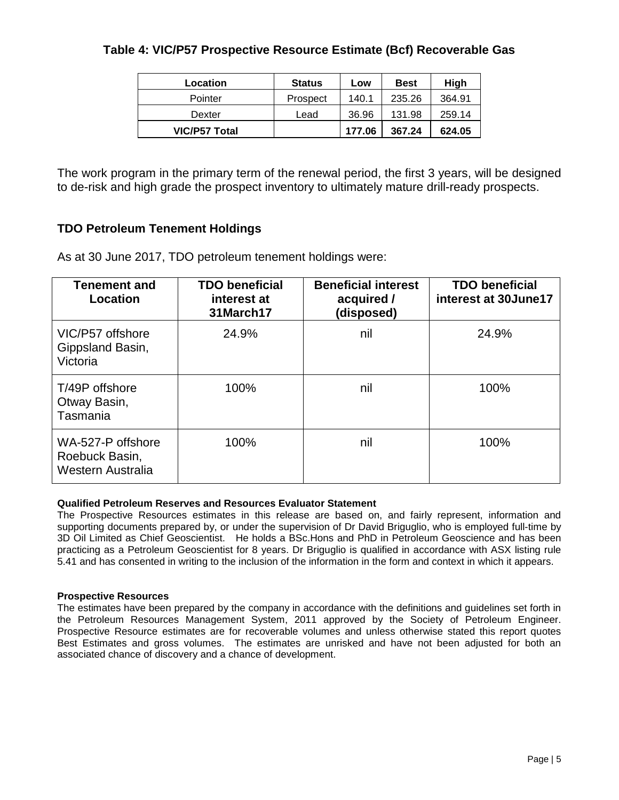### **Table 4: VIC/P57 Prospective Resource Estimate (Bcf) Recoverable Gas**

| Location             | <b>Status</b> | Low    | <b>Best</b> | High   |
|----------------------|---------------|--------|-------------|--------|
| Pointer              | Prospect      | 140.1  | 235.26      | 364.91 |
| Dexter               | Lead          | 36.96  | 131.98      | 259.14 |
| <b>VIC/P57 Total</b> |               | 177.06 | 367.24      | 624.05 |

The work program in the primary term of the renewal period, the first 3 years, will be designed to de-risk and high grade the prospect inventory to ultimately mature drill-ready prospects.

### **TDO Petroleum Tenement Holdings**

As at 30 June 2017, TDO petroleum tenement holdings were:

| <b>Tenement and</b><br>Location                          | <b>TDO beneficial</b><br>interest at<br>31March17 | <b>Beneficial interest</b><br>acquired /<br>(disposed) | <b>TDO beneficial</b><br>interest at 30June17 |
|----------------------------------------------------------|---------------------------------------------------|--------------------------------------------------------|-----------------------------------------------|
| VIC/P57 offshore<br>Gippsland Basin,<br>Victoria         | 24.9%                                             | nil                                                    | 24.9%                                         |
| T/49P offshore<br>Otway Basin,<br>Tasmania               | 100%                                              | nil                                                    | 100%                                          |
| WA-527-P offshore<br>Roebuck Basin,<br>Western Australia | 100%                                              | nil                                                    | 100%                                          |

#### **Qualified Petroleum Reserves and Resources Evaluator Statement**

The Prospective Resources estimates in this release are based on, and fairly represent, information and supporting documents prepared by, or under the supervision of Dr David Briguglio, who is employed full-time by 3D Oil Limited as Chief Geoscientist. He holds a BSc.Hons and PhD in Petroleum Geoscience and has been practicing as a Petroleum Geoscientist for 8 years. Dr Briguglio is qualified in accordance with ASX listing rule 5.41 and has consented in writing to the inclusion of the information in the form and context in which it appears.

#### **Prospective Resources**

The estimates have been prepared by the company in accordance with the definitions and guidelines set forth in the Petroleum Resources Management System, 2011 approved by the Society of Petroleum Engineer. Prospective Resource estimates are for recoverable volumes and unless otherwise stated this report quotes Best Estimates and gross volumes. The estimates are unrisked and have not been adjusted for both an associated chance of discovery and a chance of development.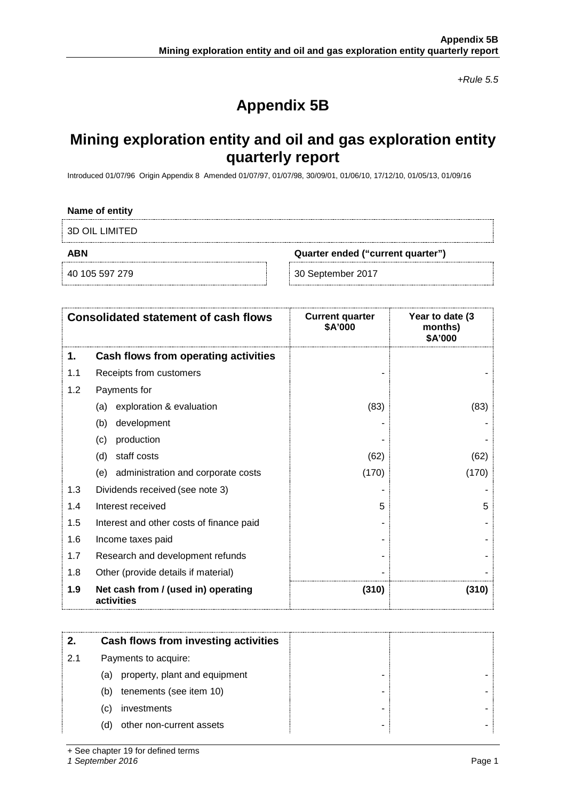*+Rule 5.5*

# **Appendix 5B**

# **Mining exploration entity and oil and gas exploration entity quarterly report**

Introduced 01/07/96 Origin Appendix 8 Amended 01/07/97, 01/07/98, 30/09/01, 01/06/10, 17/12/10, 01/05/13, 01/09/16

#### **Name of entity**

3D OIL LIMITED

**ABN Quarter ended ("current quarter")**

40 105 597 279 30 September 2017

|     | <b>Consolidated statement of cash flows</b>       | <b>Current quarter</b><br>\$A'000 | Year to date (3)<br>months)<br>\$A'000 |
|-----|---------------------------------------------------|-----------------------------------|----------------------------------------|
| 1.  | Cash flows from operating activities              |                                   |                                        |
| 1.1 | Receipts from customers                           |                                   |                                        |
| 1.2 | Payments for                                      |                                   |                                        |
|     | exploration & evaluation<br>(a)                   | (83)                              | (83)                                   |
|     | development<br>(b)                                |                                   |                                        |
|     | production<br>(c)                                 |                                   |                                        |
|     | staff costs<br>(d)                                | (62)                              | (62)                                   |
|     | (e) administration and corporate costs            | (170)                             | (170)                                  |
| 1.3 | Dividends received (see note 3)                   |                                   |                                        |
| 1.4 | Interest received                                 | 5                                 | 5                                      |
| 1.5 | Interest and other costs of finance paid          |                                   |                                        |
| 1.6 | Income taxes paid                                 |                                   |                                        |
| 1.7 | Research and development refunds                  |                                   |                                        |
| 1.8 | Other (provide details if material)               |                                   |                                        |
| 1.9 | Net cash from / (used in) operating<br>activities | (310)                             | (310)                                  |

|     | Cash flows from investing activities |
|-----|--------------------------------------|
| 2.1 | Payments to acquire:                 |
|     | property, plant and equipment<br>(a) |
|     | tenements (see item 10)<br>(b)       |
|     | investments<br>(C)                   |
|     | other non-current assets<br>(d)      |

+ See chapter 19 for defined terms

*1 September 2016* Page 1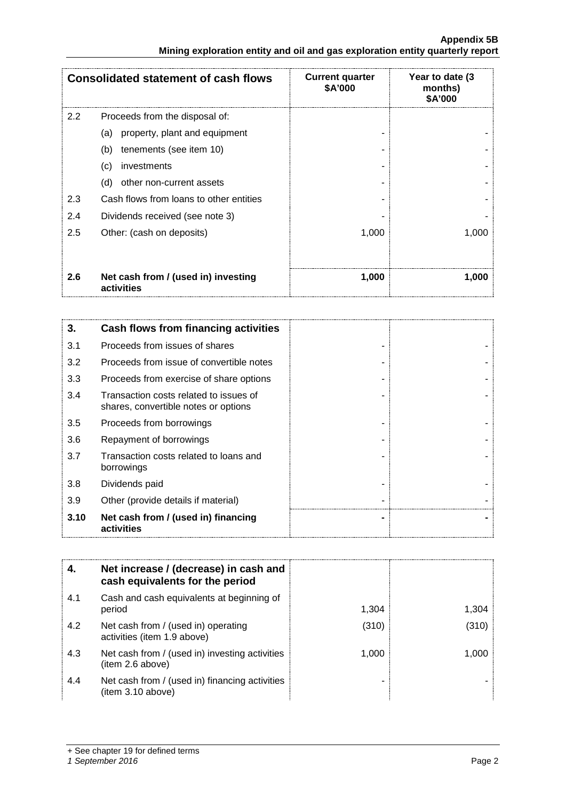#### **Appendix 5B Mining exploration entity and oil and gas exploration entity quarterly report**

|               | <b>Consolidated statement of cash flows</b>       | <b>Current quarter</b><br>\$A'000 | Year to date (3<br>months)<br>\$A'000 |
|---------------|---------------------------------------------------|-----------------------------------|---------------------------------------|
| $2.2^{\circ}$ | Proceeds from the disposal of:                    |                                   |                                       |
|               | property, plant and equipment<br>(a)              |                                   |                                       |
|               | (b)<br>tenements (see item 10)                    |                                   |                                       |
|               | (c)<br>investments                                |                                   |                                       |
|               | (d)<br>other non-current assets                   |                                   |                                       |
| 2.3           | Cash flows from loans to other entities           |                                   |                                       |
| 2.4           | Dividends received (see note 3)                   |                                   |                                       |
| 2.5           | Other: (cash on deposits)                         | 1,000                             | 1,000                                 |
|               |                                                   |                                   |                                       |
| 2.6           | Net cash from / (used in) investing<br>activities | 1,000                             | 1.000                                 |

| 3.   | Cash flows from financing activities                                           |  |
|------|--------------------------------------------------------------------------------|--|
| 3.1  | Proceeds from issues of shares                                                 |  |
| 3.2  | Proceeds from issue of convertible notes                                       |  |
| 3.3  | Proceeds from exercise of share options                                        |  |
| 3.4  | Transaction costs related to issues of<br>shares, convertible notes or options |  |
| 3.5  | Proceeds from borrowings                                                       |  |
| 3.6  | Repayment of borrowings                                                        |  |
| 3.7  | Transaction costs related to loans and<br>borrowings                           |  |
| 3.8  | Dividends paid                                                                 |  |
| 3.9  | Other (provide details if material)                                            |  |
| 3.10 | Net cash from / (used in) financing<br>activities                              |  |

|     | Net increase / (decrease) in cash and<br>cash equivalents for the period |       |        |
|-----|--------------------------------------------------------------------------|-------|--------|
| 4.1 | Cash and cash equivalents at beginning of<br>period                      | 1.304 | 1.304  |
| 4.2 | Net cash from / (used in) operating<br>activities (item 1.9 above)       | (310) | (310)  |
| 4.3 | Net cash from / (used in) investing activities<br>(item 2.6 above)       | 1.000 | 1 OO N |
| 4.4 | Net cash from / (used in) financing activities<br>(item 3.10 above)      |       |        |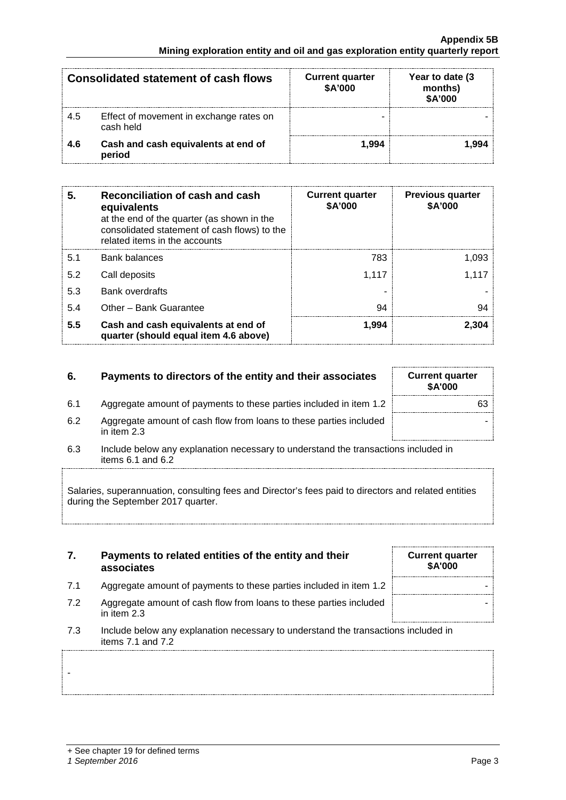-

#### **Appendix 5B Mining exploration entity and oil and gas exploration entity quarterly report**

|      | <b>Consolidated statement of cash flows</b>          | <b>Current quarter</b><br>\$A'000 | Year to date (3)<br>months)<br>\$A'000 |
|------|------------------------------------------------------|-----------------------------------|----------------------------------------|
| -4.5 | Effect of movement in exchange rates on<br>cash held |                                   |                                        |
| -4.6 | Cash and cash equivalents at end of<br>period        | 994.ا                             | -994                                   |

| 5.  | Reconciliation of cash and cash<br>equivalents<br>at the end of the quarter (as shown in the<br>consolidated statement of cash flows) to the<br>related items in the accounts | <b>Current quarter</b><br>\$A'000 | <b>Previous quarter</b><br>\$A'000 |
|-----|-------------------------------------------------------------------------------------------------------------------------------------------------------------------------------|-----------------------------------|------------------------------------|
| 5.1 | Bank balances                                                                                                                                                                 | 783                               | 1.093                              |
| 5.2 | Call deposits                                                                                                                                                                 | 1.117                             | 1.117                              |
| 5.3 | <b>Bank overdrafts</b>                                                                                                                                                        |                                   |                                    |
| 5.4 | Other - Bank Guarantee                                                                                                                                                        | 94                                | 94                                 |
| 5.5 | Cash and cash equivalents at end of<br>quarter (should equal item 4.6 above)                                                                                                  | 1.994                             | 2.304                              |

### **6.** Payments to directors of the entity and their associates Current quarter

- 6.1 Aggregate amount of payments to these parties included in item 1.2
- 6.2 Aggregate amount of cash flow from loans to these parties included in item 2.3
- 6.3 Include below any explanation necessary to understand the transactions included in items 6.1 and 6.2

Salaries, superannuation, consulting fees and Director's fees paid to directors and related entities during the September 2017 quarter.

| 7. | Payments to related entities of the entity and their |
|----|------------------------------------------------------|
|    | associates                                           |

- 7.1 Aggregate amount of payments to these parties included in item 1.2
- 7.2 Aggregate amount of cash flow from loans to these parties included in item 2.3
- 7.3 Include below any explanation necessary to understand the transactions included in items 7.1 and 7.2

| \$A'000 |    |
|---------|----|
|         | 63 |
|         |    |
|         |    |

|  | <b>Current quarter</b> | \$A'000 |  |  |
|--|------------------------|---------|--|--|
|  |                        |         |  |  |
|  |                        |         |  |  |
|  |                        |         |  |  |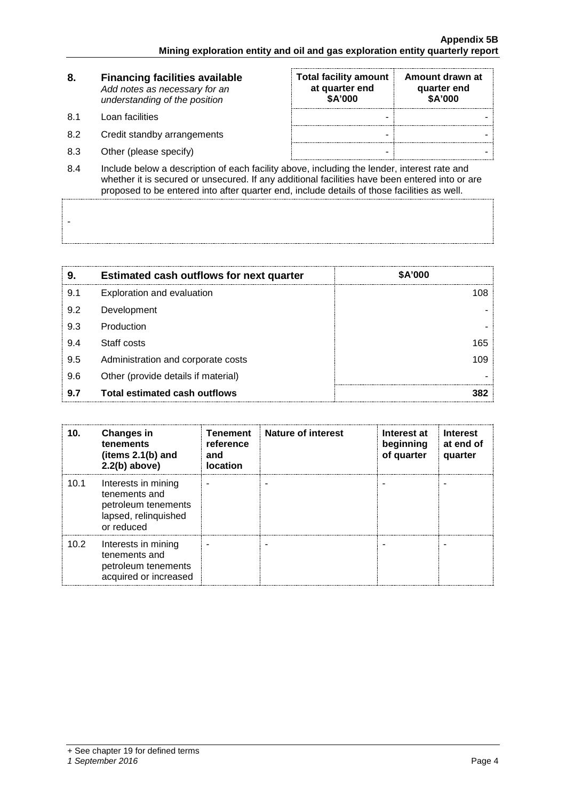| 8.   | <b>Financing facilities available</b><br>Add notes as necessary for an<br>understanding of the position                                                                                       | <b>Total facility amount</b><br>at quarter end<br>\$A'000 | Amount drawn at<br>quarter end<br>\$A'000 |  |
|------|-----------------------------------------------------------------------------------------------------------------------------------------------------------------------------------------------|-----------------------------------------------------------|-------------------------------------------|--|
| .8.1 | Loan facilities                                                                                                                                                                               | -                                                         |                                           |  |
| 8.2  | Credit standby arrangements                                                                                                                                                                   | -                                                         |                                           |  |
| 8.3  | Other (please specify)                                                                                                                                                                        | -                                                         |                                           |  |
| 8.4  | Include below a description of each facility above, including the lender, interest rate and<br>whether it is secured or unsecured. If any additional facilities have been entered into or are |                                                           |                                           |  |

proposed to be entered into after quarter end, include details of those facilities as well.

| 9   | <b>Estimated cash outflows for next quarter</b> | <b>\$A'000</b> |
|-----|-------------------------------------------------|----------------|
| 9.1 | Exploration and evaluation                      |                |
| 9.2 | Development                                     |                |
| 9.3 | Production                                      |                |
| 9.4 | Staff costs                                     | 165            |
| 9.5 | Administration and corporate costs              | 109            |
| 9.6 | Other (provide details if material)             |                |
| 9.7 | Total estimated cash outflows                   |                |

| 10.  | <b>Changes in</b><br>tenements<br>(items $2.1(b)$ and<br>$2.2(b)$ above)                          | <b>Tenement</b><br>reference<br>and<br><b>location</b> | <b>Nature of interest</b> | Interest at<br>beginning<br>of quarter | Interest<br>at end of<br>quarter |
|------|---------------------------------------------------------------------------------------------------|--------------------------------------------------------|---------------------------|----------------------------------------|----------------------------------|
| 10.1 | Interests in mining<br>tenements and<br>petroleum tenements<br>lapsed, relinquished<br>or reduced |                                                        |                           |                                        |                                  |
| 10.2 | Interests in mining<br>tenements and<br>petroleum tenements<br>acquired or increased              |                                                        |                           |                                        |                                  |

-